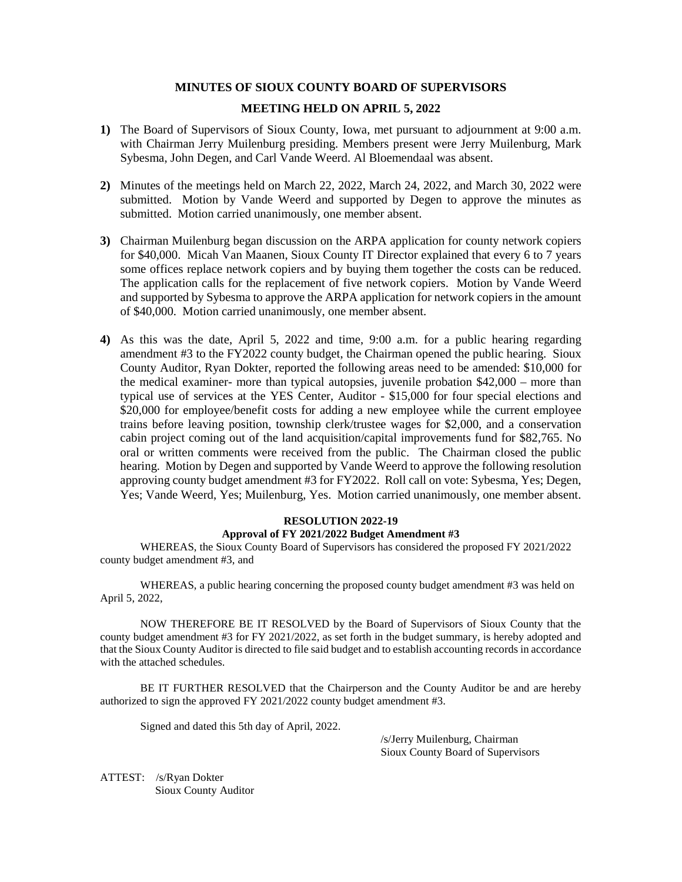# **MINUTES OF SIOUX COUNTY BOARD OF SUPERVISORS**

# **MEETING HELD ON APRIL 5, 2022**

- **1)** The Board of Supervisors of Sioux County, Iowa, met pursuant to adjournment at 9:00 a.m. with Chairman Jerry Muilenburg presiding. Members present were Jerry Muilenburg, Mark Sybesma, John Degen, and Carl Vande Weerd. Al Bloemendaal was absent.
- **2)** Minutes of the meetings held on March 22, 2022, March 24, 2022, and March 30, 2022 were submitted. Motion by Vande Weerd and supported by Degen to approve the minutes as submitted. Motion carried unanimously, one member absent.
- **3)** Chairman Muilenburg began discussion on the ARPA application for county network copiers for \$40,000. Micah Van Maanen, Sioux County IT Director explained that every 6 to 7 years some offices replace network copiers and by buying them together the costs can be reduced. The application calls for the replacement of five network copiers. Motion by Vande Weerd and supported by Sybesma to approve the ARPA application for network copiers in the amount of \$40,000. Motion carried unanimously, one member absent.
- **4)** As this was the date, April 5, 2022 and time, 9:00 a.m. for a public hearing regarding amendment #3 to the FY2022 county budget, the Chairman opened the public hearing. Sioux County Auditor, Ryan Dokter, reported the following areas need to be amended: \$10,000 for the medical examiner- more than typical autopsies, juvenile probation \$42,000 – more than typical use of services at the YES Center, Auditor - \$15,000 for four special elections and \$20,000 for employee/benefit costs for adding a new employee while the current employee trains before leaving position, township clerk/trustee wages for \$2,000, and a conservation cabin project coming out of the land acquisition/capital improvements fund for \$82,765. No oral or written comments were received from the public. The Chairman closed the public hearing. Motion by Degen and supported by Vande Weerd to approve the following resolution approving county budget amendment #3 for FY2022. Roll call on vote: Sybesma, Yes; Degen, Yes; Vande Weerd, Yes; Muilenburg, Yes. Motion carried unanimously, one member absent.

# **RESOLUTION 2022-19 Approval of FY 2021/2022 Budget Amendment #3**

WHEREAS, the Sioux County Board of Supervisors has considered the proposed FY 2021/2022 county budget amendment #3, and

WHEREAS, a public hearing concerning the proposed county budget amendment #3 was held on April 5, 2022,

NOW THEREFORE BE IT RESOLVED by the Board of Supervisors of Sioux County that the county budget amendment #3 for FY 2021/2022, as set forth in the budget summary, is hereby adopted and that the Sioux County Auditor is directed to file said budget and to establish accounting records in accordance with the attached schedules.

BE IT FURTHER RESOLVED that the Chairperson and the County Auditor be and are hereby authorized to sign the approved FY 2021/2022 county budget amendment #3.

Signed and dated this 5th day of April, 2022.

/s/Jerry Muilenburg, Chairman Sioux County Board of Supervisors

ATTEST: /s/Ryan Dokter Sioux County Auditor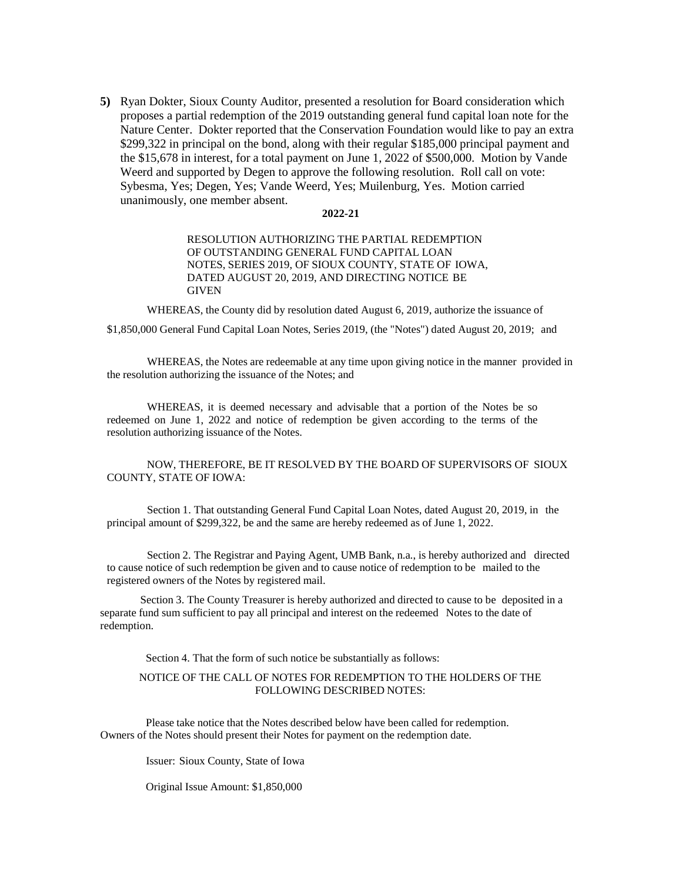**5)** Ryan Dokter, Sioux County Auditor, presented a resolution for Board consideration which proposes a partial redemption of the 2019 outstanding general fund capital loan note for the Nature Center. Dokter reported that the Conservation Foundation would like to pay an extra \$299,322 in principal on the bond, along with their regular \$185,000 principal payment and the \$15,678 in interest, for a total payment on June 1, 2022 of \$500,000. Motion by Vande Weerd and supported by Degen to approve the following resolution. Roll call on vote: Sybesma, Yes; Degen, Yes; Vande Weerd, Yes; Muilenburg, Yes. Motion carried unanimously, one member absent.

#### **2022-21**

### RESOLUTION AUTHORIZING THE PARTIAL REDEMPTION OF OUTSTANDING GENERAL FUND CAPITAL LOAN NOTES, SERIES 2019, OF SIOUX COUNTY, STATE OF IOWA, DATED AUGUST 20, 2019, AND DIRECTING NOTICE BE **GIVEN**

WHEREAS, the County did by resolution dated August 6, 2019, authorize the issuance of

\$1,850,000 General Fund Capital Loan Notes, Series 2019, (the "Notes") dated August 20, 2019; and

WHEREAS, the Notes are redeemable at any time upon giving notice in the manner provided in the resolution authorizing the issuance of the Notes; and

WHEREAS, it is deemed necessary and advisable that a portion of the Notes be so redeemed on June 1, 2022 and notice of redemption be given according to the terms of the resolution authorizing issuance of the Notes.

# NOW, THEREFORE, BE IT RESOLVED BY THE BOARD OF SUPERVISORS OF SIOUX COUNTY, STATE OF IOWA:

Section 1. That outstanding General Fund Capital Loan Notes, dated August 20, 2019, in the principal amount of \$299,322, be and the same are hereby redeemed as of June 1, 2022.

Section 2. The Registrar and Paying Agent, UMB Bank, n.a., is hereby authorized and directed to cause notice of such redemption be given and to cause notice of redemption to be mailed to the registered owners of the Notes by registered mail.

Section 3. The County Treasurer is hereby authorized and directed to cause to be deposited in a separate fund sum sufficient to pay all principal and interest on the redeemed Notes to the date of redemption.

Section 4. That the form of such notice be substantially as follows:

#### NOTICE OF THE CALL OF NOTES FOR REDEMPTION TO THE HOLDERS OF THE FOLLOWING DESCRIBED NOTES:

Please take notice that the Notes described below have been called for redemption. Owners of the Notes should present their Notes for payment on the redemption date.

Issuer: Sioux County, State of Iowa

Original Issue Amount: \$1,850,000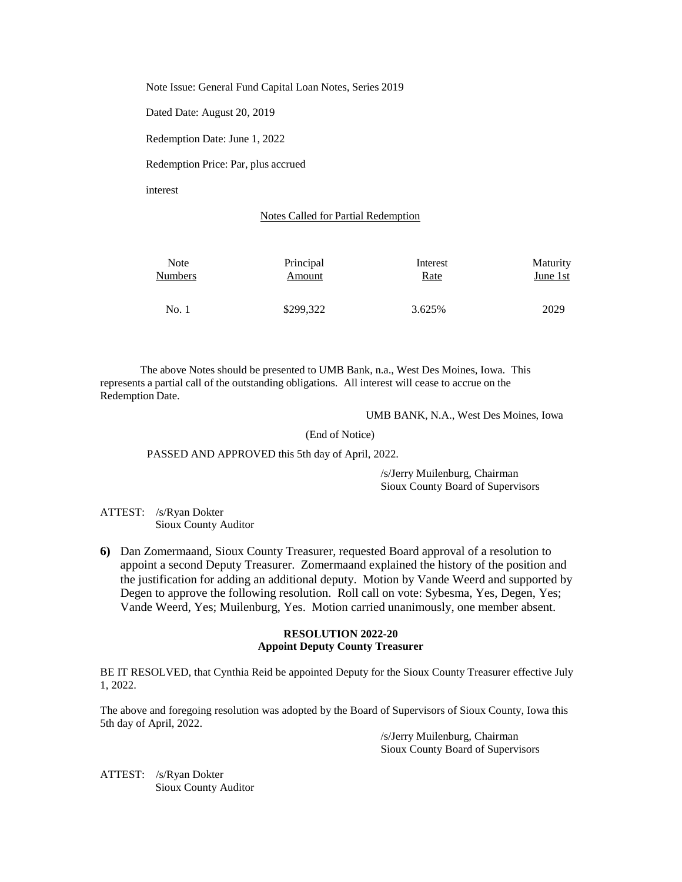Note Issue: General Fund Capital Loan Notes, Series 2019

Dated Date: August 20, 2019

Redemption Date: June 1, 2022

Redemption Price: Par, plus accrued

interest

#### Notes Called for Partial Redemption

| Note           | Principal | Interest | Maturity |
|----------------|-----------|----------|----------|
| <b>Numbers</b> | Amount    | Rate     | June 1st |
| No.1           | \$299,322 | 3.625%   | 2029     |

The above Notes should be presented to UMB Bank, n.a., West Des Moines, Iowa. This represents a partial call of the outstanding obligations. All interest will cease to accrue on the Redemption Date.

UMB BANK, N.A., West Des Moines, Iowa

(End of Notice)

PASSED AND APPROVED this 5th day of April, 2022.

/s/Jerry Muilenburg, Chairman Sioux County Board of Supervisors

ATTEST: /s/Ryan Dokter Sioux County Auditor

**6)** Dan Zomermaand, Sioux County Treasurer, requested Board approval of a resolution to appoint a second Deputy Treasurer. Zomermaand explained the history of the position and the justification for adding an additional deputy. Motion by Vande Weerd and supported by Degen to approve the following resolution. Roll call on vote: Sybesma, Yes, Degen, Yes; Vande Weerd, Yes; Muilenburg, Yes. Motion carried unanimously, one member absent.

## **RESOLUTION 2022-20 Appoint Deputy County Treasurer**

BE IT RESOLVED, that Cynthia Reid be appointed Deputy for the Sioux County Treasurer effective July 1, 2022.

The above and foregoing resolution was adopted by the Board of Supervisors of Sioux County, Iowa this 5th day of April, 2022.

> /s/Jerry Muilenburg, Chairman Sioux County Board of Supervisors

ATTEST: /s/Ryan Dokter Sioux County Auditor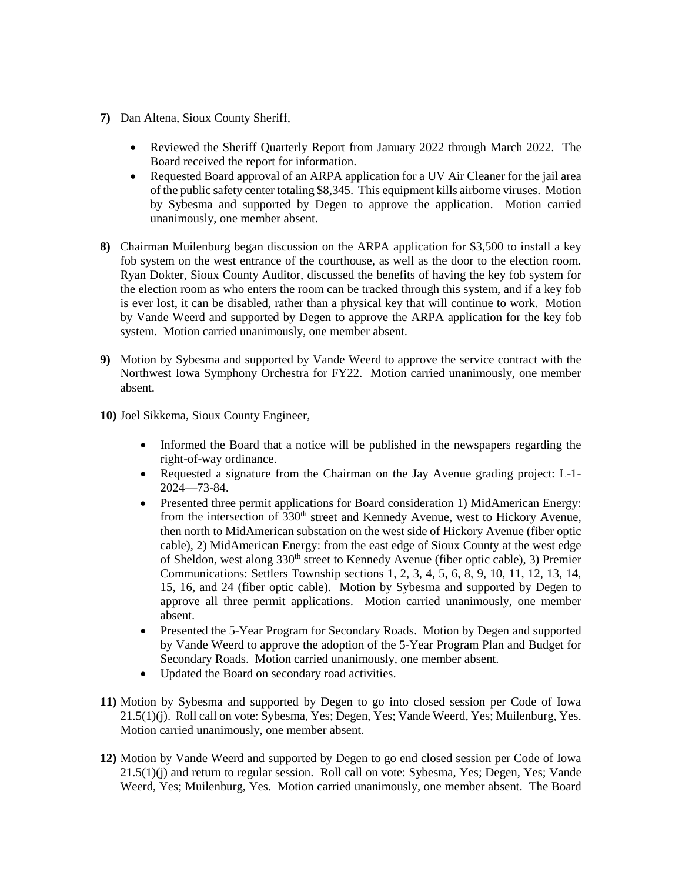- **7)** Dan Altena, Sioux County Sheriff,
	- Reviewed the Sheriff Quarterly Report from January 2022 through March 2022. The Board received the report for information.
	- Requested Board approval of an ARPA application for a UV Air Cleaner for the jail area of the public safety center totaling \$8,345. This equipment kills airborne viruses. Motion by Sybesma and supported by Degen to approve the application. Motion carried unanimously, one member absent.
- **8)** Chairman Muilenburg began discussion on the ARPA application for \$3,500 to install a key fob system on the west entrance of the courthouse, as well as the door to the election room. Ryan Dokter, Sioux County Auditor, discussed the benefits of having the key fob system for the election room as who enters the room can be tracked through this system, and if a key fob is ever lost, it can be disabled, rather than a physical key that will continue to work. Motion by Vande Weerd and supported by Degen to approve the ARPA application for the key fob system. Motion carried unanimously, one member absent.
- **9)** Motion by Sybesma and supported by Vande Weerd to approve the service contract with the Northwest Iowa Symphony Orchestra for FY22. Motion carried unanimously, one member absent.
- **10)** Joel Sikkema, Sioux County Engineer,
	- Informed the Board that a notice will be published in the newspapers regarding the right-of-way ordinance.
	- Requested a signature from the Chairman on the Jay Avenue grading project: L-1- 2024—73-84.
	- Presented three permit applications for Board consideration 1) MidAmerican Energy: from the intersection of 330<sup>th</sup> street and Kennedy Avenue, west to Hickory Avenue, then north to MidAmerican substation on the west side of Hickory Avenue (fiber optic cable), 2) MidAmerican Energy: from the east edge of Sioux County at the west edge of Sheldon, west along 330<sup>th</sup> street to Kennedy Avenue (fiber optic cable), 3) Premier Communications: Settlers Township sections 1, 2, 3, 4, 5, 6, 8, 9, 10, 11, 12, 13, 14, 15, 16, and 24 (fiber optic cable). Motion by Sybesma and supported by Degen to approve all three permit applications. Motion carried unanimously, one member absent.
	- Presented the 5-Year Program for Secondary Roads. Motion by Degen and supported by Vande Weerd to approve the adoption of the 5-Year Program Plan and Budget for Secondary Roads. Motion carried unanimously, one member absent.
	- Updated the Board on secondary road activities.
- **11)** Motion by Sybesma and supported by Degen to go into closed session per Code of Iowa 21.5(1)(j). Roll call on vote: Sybesma, Yes; Degen, Yes; Vande Weerd, Yes; Muilenburg, Yes. Motion carried unanimously, one member absent.
- **12)** Motion by Vande Weerd and supported by Degen to go end closed session per Code of Iowa 21.5(1)(j) and return to regular session. Roll call on vote: Sybesma, Yes; Degen, Yes; Vande Weerd, Yes; Muilenburg, Yes. Motion carried unanimously, one member absent. The Board